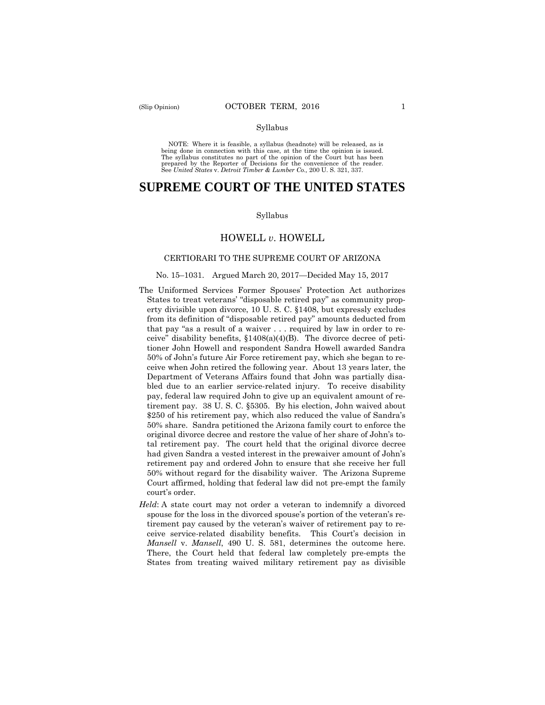#### Syllabus

 NOTE: Where it is feasible, a syllabus (headnote) will be released, as is being done in connection with this case, at the time the opinion is issued. The syllabus constitutes no part of the opinion of the Court but has been<br>prepared by the Reporter of Decisions for the convenience of the reader.<br>See United States v. Detroit Timber & Lumber Co., 200 U.S. 321, 337.

# **SUPREME COURT OF THE UNITED STATES**

#### Syllabus

## HOWELL *v*. HOWELL

#### CERTIORARI TO THE SUPREME COURT OF ARIZONA

#### No. 15–1031. Argued March 20, 2017—Decided May 15, 2017

- The Uniformed Services Former Spouses' Protection Act authorizes States to treat veterans' "disposable retired pay" as community property divisible upon divorce, 10 U. S. C. §1408, but expressly excludes from its definition of "disposable retired pay" amounts deducted from that pay "as a result of a waiver . . . required by law in order to receive" disability benefits,  $$1408(a)(4)(B)$ . The divorce decree of petitioner John Howell and respondent Sandra Howell awarded Sandra 50% of John's future Air Force retirement pay, which she began to receive when John retired the following year. About 13 years later, the Department of Veterans Affairs found that John was partially disabled due to an earlier service-related injury. To receive disability pay, federal law required John to give up an equivalent amount of retirement pay. 38 U. S. C. §5305. By his election, John waived about \$250 of his retirement pay, which also reduced the value of Sandra's 50% share. Sandra petitioned the Arizona family court to enforce the original divorce decree and restore the value of her share of John's total retirement pay. The court held that the original divorce decree had given Sandra a vested interest in the prewaiver amount of John's retirement pay and ordered John to ensure that she receive her full 50% without regard for the disability waiver. The Arizona Supreme Court affirmed, holding that federal law did not pre-empt the family court's order.
- *Held*: A state court may not order a veteran to indemnify a divorced spouse for the loss in the divorced spouse's portion of the veteran's retirement pay caused by the veteran's waiver of retirement pay to receive service-related disability benefits. This Court's decision in *Mansell* v. *Mansell*, 490 U. S. 581, determines the outcome here. There, the Court held that federal law completely pre-empts the States from treating waived military retirement pay as divisible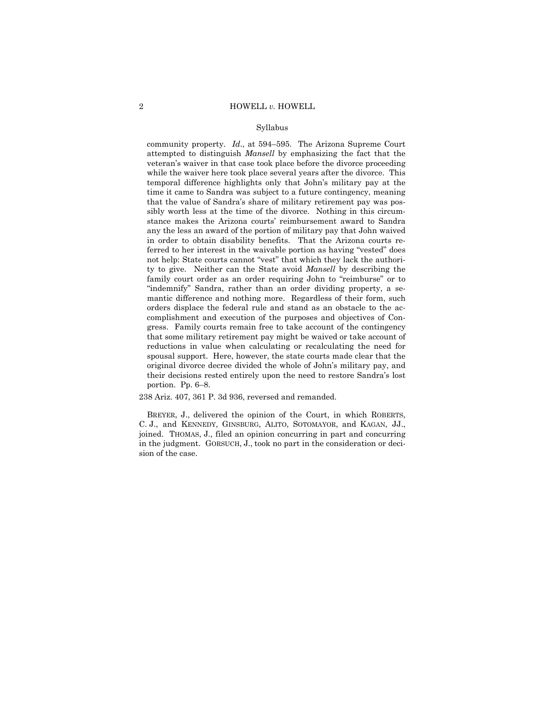#### Syllabus

community property. *Id*., at 594–595. The Arizona Supreme Court attempted to distinguish *Mansell* by emphasizing the fact that the veteran's waiver in that case took place before the divorce proceeding while the waiver here took place several years after the divorce. This temporal difference highlights only that John's military pay at the time it came to Sandra was subject to a future contingency, meaning that the value of Sandra's share of military retirement pay was possibly worth less at the time of the divorce. Nothing in this circumstance makes the Arizona courts' reimbursement award to Sandra any the less an award of the portion of military pay that John waived in order to obtain disability benefits. That the Arizona courts referred to her interest in the waivable portion as having "vested" does not help: State courts cannot "vest" that which they lack the authority to give. Neither can the State avoid *Mansell* by describing the family court order as an order requiring John to "reimburse" or to "indemnify" Sandra, rather than an order dividing property, a semantic difference and nothing more. Regardless of their form, such orders displace the federal rule and stand as an obstacle to the accomplishment and execution of the purposes and objectives of Congress. Family courts remain free to take account of the contingency that some military retirement pay might be waived or take account of reductions in value when calculating or recalculating the need for spousal support. Here, however, the state courts made clear that the original divorce decree divided the whole of John's military pay, and their decisions rested entirely upon the need to restore Sandra's lost portion. Pp. 6–8.

238 Ariz. 407, 361 P. 3d 936, reversed and remanded.

 BREYER, J., delivered the opinion of the Court, in which ROBERTS, C. J., and KENNEDY, GINSBURG, ALITO, SOTOMAYOR, and KAGAN, JJ., in the judgment. GORSUCH, J., took no part in the consideration or decijoined. THOMAS, J., filed an opinion concurring in part and concurring sion of the case.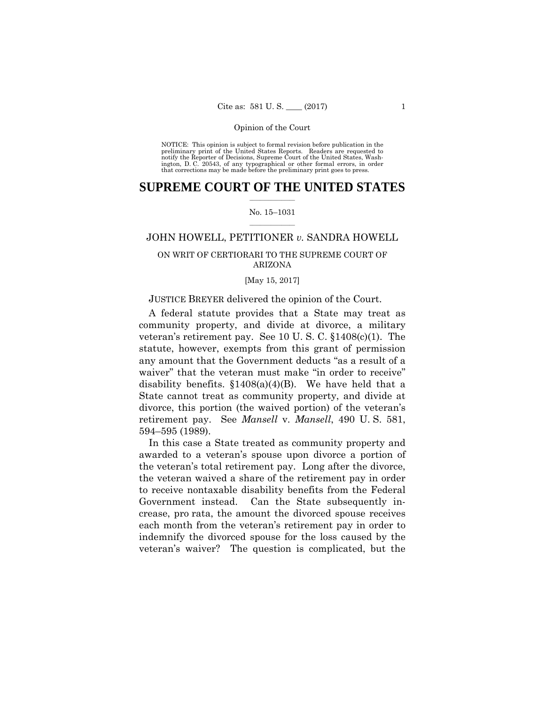preliminary print of the United States Reports. Readers are requested to notify the Reporter of Decisions, Supreme Court of the United States, Wash- ington, D. C. 20543, of any typographical or other formal errors, in order that corrections may be made before the preliminary print goes to press. NOTICE: This opinion is subject to formal revision before publication in the

### $\frac{1}{2}$  ,  $\frac{1}{2}$  ,  $\frac{1}{2}$  ,  $\frac{1}{2}$  ,  $\frac{1}{2}$  ,  $\frac{1}{2}$  ,  $\frac{1}{2}$ **SUPREME COURT OF THE UNITED STATES**

### $\frac{1}{2}$  ,  $\frac{1}{2}$  ,  $\frac{1}{2}$  ,  $\frac{1}{2}$  ,  $\frac{1}{2}$  ,  $\frac{1}{2}$ No. 15–1031

## JOHN HOWELL, PETITIONER *v.* SANDRA HOWELL

# ON WRIT OF CERTIORARI TO THE SUPREME COURT OF ARIZONA

#### [May 15, 2017]

# JUSTICE BREYER delivered the opinion of the Court.

A federal statute provides that a State may treat as community property, and divide at divorce, a military veteran's retirement pay. See 10 U. S. C. §1408(c)(1). The statute, however, exempts from this grant of permission any amount that the Government deducts "as a result of a waiver" that the veteran must make "in order to receive" disability benefits.  $$1408(a)(4)(B)$ . We have held that a State cannot treat as community property, and divide at divorce, this portion (the waived portion) of the veteran's retirement pay. See *Mansell* v. *Mansell*, 490 U. S. 581, 594–595 (1989).

In this case a State treated as community property and awarded to a veteran's spouse upon divorce a portion of the veteran's total retirement pay. Long after the divorce, the veteran waived a share of the retirement pay in order to receive nontaxable disability benefits from the Federal Government instead. Can the State subsequently increase, pro rata, the amount the divorced spouse receives each month from the veteran's retirement pay in order to indemnify the divorced spouse for the loss caused by the veteran's waiver? The question is complicated, but the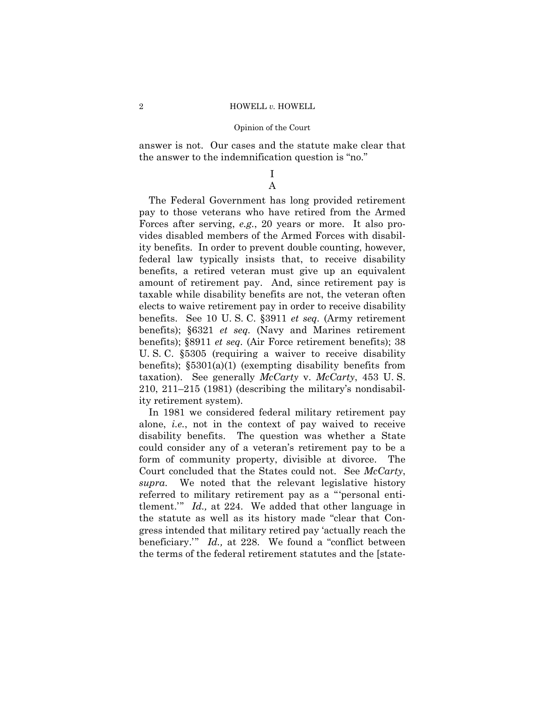answer is not. Our cases and the statute make clear that the answer to the indemnification question is "no."

# I A

The Federal Government has long provided retirement pay to those veterans who have retired from the Armed Forces after serving, *e.g.*, 20 years or more. It also provides disabled members of the Armed Forces with disability benefits. In order to prevent double counting, however, federal law typically insists that, to receive disability benefits, a retired veteran must give up an equivalent amount of retirement pay. And, since retirement pay is taxable while disability benefits are not, the veteran often elects to waive retirement pay in order to receive disability benefits. See 10 U. S. C. §3911 *et seq.* (Army retirement benefits); §6321 *et seq.* (Navy and Marines retirement benefits); §8911 *et seq.* (Air Force retirement benefits); 38 U. S. C. §5305 (requiring a waiver to receive disability benefits); §5301(a)(1) (exempting disability benefits from taxation). See generally *McCarty* v. *McCarty*, 453 U. S. 210, 211–215 (1981) (describing the military's nondisability retirement system).

In 1981 we considered federal military retirement pay alone, *i.e.*, not in the context of pay waived to receive disability benefits. The question was whether a State could consider any of a veteran's retirement pay to be a form of community property, divisible at divorce. The Court concluded that the States could not. See *McCarty*, *supra*. We noted that the relevant legislative history referred to military retirement pay as a "'personal entitlement.'" *Id.,* at 224. We added that other language in the statute as well as its history made "clear that Congress intended that military retired pay 'actually reach the beneficiary.'" *Id.,* at 228. We found a "conflict between the terms of the federal retirement statutes and the [state-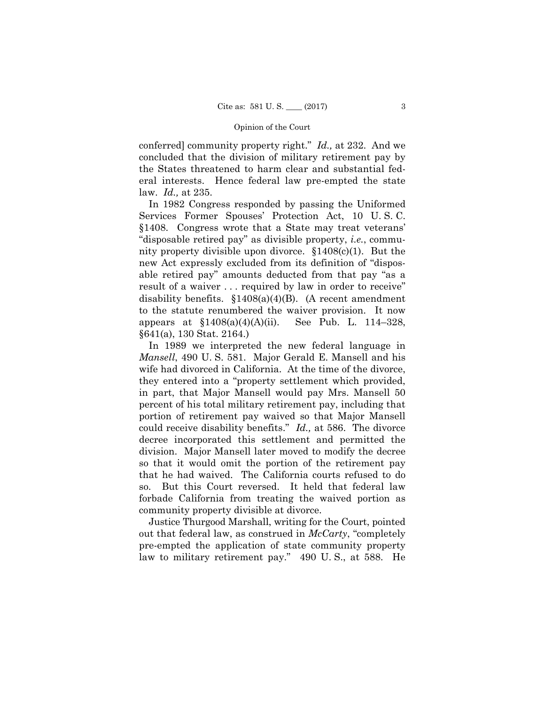conferred] community property right." *Id.,* at 232. And we concluded that the division of military retirement pay by the States threatened to harm clear and substantial federal interests. Hence federal law pre-empted the state law. *Id.,* at 235.

In 1982 Congress responded by passing the Uniformed Services Former Spouses' Protection Act, 10 U. S. C. §1408. Congress wrote that a State may treat veterans' "disposable retired pay" as divisible property, *i.e.*, community property divisible upon divorce. §1408(c)(1). But the new Act expressly excluded from its definition of "disposable retired pay" amounts deducted from that pay "as a result of a waiver . . . required by law in order to receive" disability benefits.  $$1408(a)(4)(B)$ . (A recent amendment to the statute renumbered the waiver provision. It now appears at §1408(a)(4)(A)(ii). See Pub. L. 114–328, §641(a), 130 Stat. 2164.)

In 1989 we interpreted the new federal language in *Mansell*, 490 U. S. 581. Major Gerald E. Mansell and his wife had divorced in California. At the time of the divorce, they entered into a "property settlement which provided, in part, that Major Mansell would pay Mrs. Mansell 50 percent of his total military retirement pay, including that portion of retirement pay waived so that Major Mansell could receive disability benefits." *Id.,* at 586. The divorce decree incorporated this settlement and permitted the division. Major Mansell later moved to modify the decree so that it would omit the portion of the retirement pay that he had waived. The California courts refused to do so. But this Court reversed. It held that federal law forbade California from treating the waived portion as community property divisible at divorce.

Justice Thurgood Marshall, writing for the Court, pointed out that federal law, as construed in *McCarty*, "completely pre-empted the application of state community property law to military retirement pay." 490 U. S., at 588. He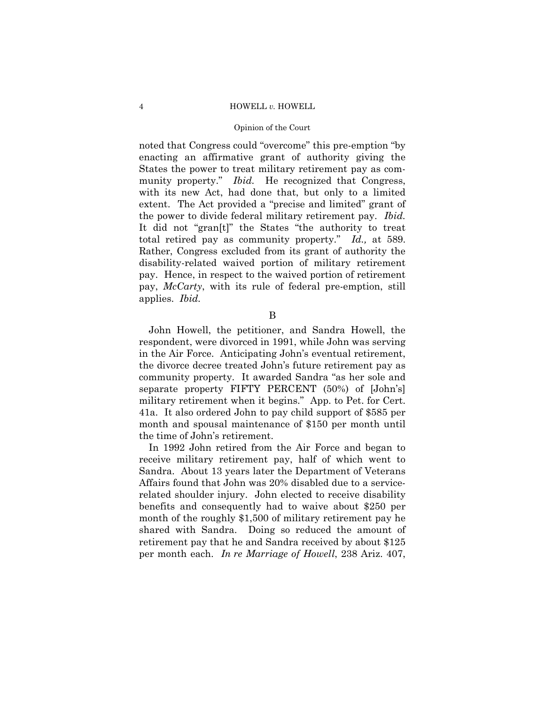#### 4 HOWELL *v.* HOWELL

### Opinion of the Court

 total retired pay as community property." *Id.,* at 589. noted that Congress could "overcome" this pre-emption "by enacting an affirmative grant of authority giving the States the power to treat military retirement pay as community property." *Ibid*. He recognized that Congress, with its new Act, had done that, but only to a limited extent. The Act provided a "precise and limited" grant of the power to divide federal military retirement pay. *Ibid.* It did not "gran[t]" the States "the authority to treat Rather, Congress excluded from its grant of authority the disability-related waived portion of military retirement pay. Hence, in respect to the waived portion of retirement pay, *McCarty*, with its rule of federal pre-emption, still applies. *Ibid.* 

B

John Howell, the petitioner, and Sandra Howell, the respondent, were divorced in 1991, while John was serving in the Air Force. Anticipating John's eventual retirement, the divorce decree treated John's future retirement pay as community property. It awarded Sandra "as her sole and separate property FIFTY PERCENT (50%) of [John's] military retirement when it begins." App. to Pet. for Cert. 41a. It also ordered John to pay child support of \$585 per month and spousal maintenance of \$150 per month until the time of John's retirement.

In 1992 John retired from the Air Force and began to receive military retirement pay, half of which went to Sandra. About 13 years later the Department of Veterans Affairs found that John was 20% disabled due to a servicerelated shoulder injury. John elected to receive disability benefits and consequently had to waive about \$250 per month of the roughly \$1,500 of military retirement pay he shared with Sandra. Doing so reduced the amount of retirement pay that he and Sandra received by about \$125 per month each. *In re Marriage of Howell*, 238 Ariz. 407,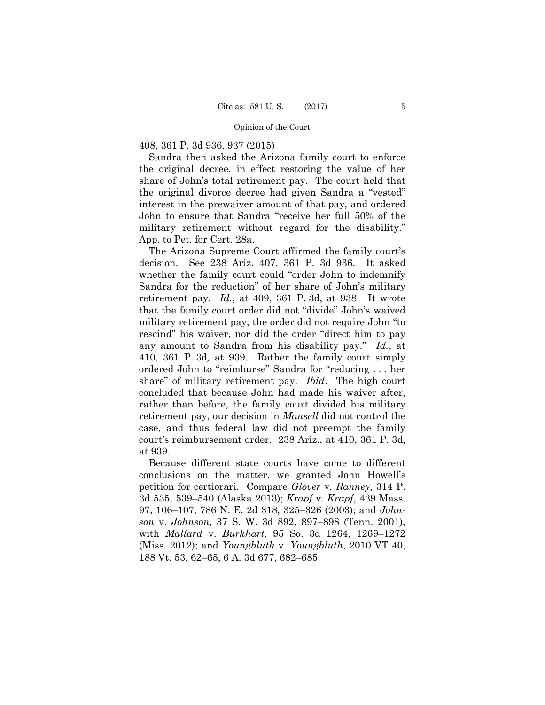408, 361 P. 3d 936, 937 (2015)

Sandra then asked the Arizona family court to enforce the original decree, in effect restoring the value of her share of John's total retirement pay. The court held that the original divorce decree had given Sandra a "vested" interest in the prewaiver amount of that pay, and ordered John to ensure that Sandra "receive her full 50% of the military retirement without regard for the disability." App. to Pet. for Cert. 28a.

The Arizona Supreme Court affirmed the family court's decision. See 238 Ariz. 407, 361 P. 3d 936. It asked whether the family court could "order John to indemnify Sandra for the reduction" of her share of John's military retirement pay. *Id.*, at 409, 361 P. 3d, at 938. It wrote that the family court order did not "divide" John's waived military retirement pay, the order did not require John "to rescind" his waiver, nor did the order "direct him to pay any amount to Sandra from his disability pay." *Id.*, at 410, 361 P. 3d*,* at 939. Rather the family court simply ordered John to "reimburse" Sandra for "reducing . . . her share" of military retirement pay. *Ibid*. The high court concluded that because John had made his waiver after, rather than before, the family court divided his military retirement pay, our decision in *Mansell* did not control the case, and thus federal law did not preempt the family court's reimbursement order. 238 Ariz., at 410, 361 P. 3d, at 939.

Because different state courts have come to different conclusions on the matter, we granted John Howell's petition for certiorari. Compare *Glover* v. *Ranney*, 314 P. 3d 535, 539–540 (Alaska 2013); *Krapf* v. *Krapf*, 439 Mass. 97, 106–107, 786 N. E. 2d 318, 325–326 (2003); and *Johnson* v. *Johnson*, 37 S. W. 3d 892, 897–898 (Tenn. 2001), with *Mallard* v. *Burkhart*, 95 So. 3d 1264, 1269–1272 (Miss. 2012); and *Youngbluth* v. *Youngbluth*, 2010 VT 40, 188 Vt. 53, 62–65, 6 A. 3d 677, 682–685.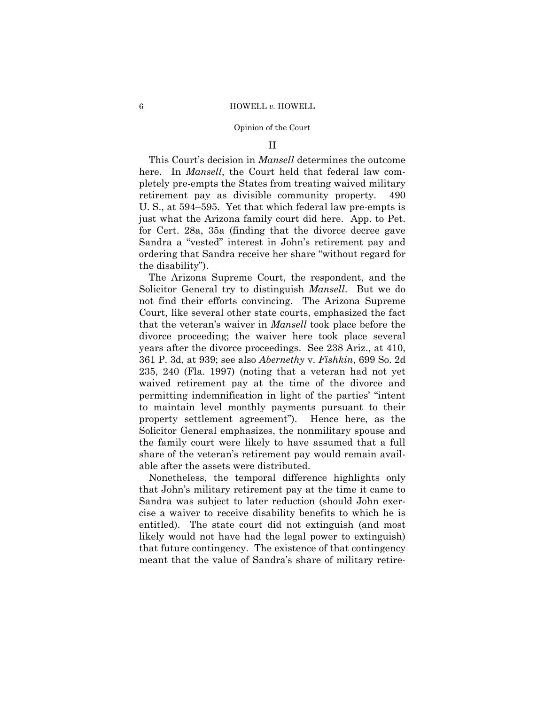### II

This Court's decision in *Mansell* determines the outcome here. In *Mansell*, the Court held that federal law completely pre-empts the States from treating waived military retirement pay as divisible community property. 490 U. S., at 594–595. Yet that which federal law pre-empts is just what the Arizona family court did here. App. to Pet. for Cert. 28a, 35a (finding that the divorce decree gave Sandra a "vested" interest in John's retirement pay and ordering that Sandra receive her share "without regard for the disability").

The Arizona Supreme Court, the respondent, and the Solicitor General try to distinguish *Mansell*. But we do not find their efforts convincing. The Arizona Supreme Court, like several other state courts, emphasized the fact that the veteran's waiver in *Mansell* took place before the divorce proceeding; the waiver here took place several years after the divorce proceedings. See 238 Ariz., at 410, 361 P. 3d, at 939; see also *Abernethy* v. *Fishkin*, 699 So. 2d 235, 240 (Fla. 1997) (noting that a veteran had not yet waived retirement pay at the time of the divorce and permitting indemnification in light of the parties' "intent to maintain level monthly payments pursuant to their property settlement agreement"). Hence here, as the Solicitor General emphasizes, the nonmilitary spouse and the family court were likely to have assumed that a full share of the veteran's retirement pay would remain available after the assets were distributed.

Nonetheless, the temporal difference highlights only that John's military retirement pay at the time it came to Sandra was subject to later reduction (should John exercise a waiver to receive disability benefits to which he is entitled). The state court did not extinguish (and most likely would not have had the legal power to extinguish) that future contingency. The existence of that contingency meant that the value of Sandra's share of military retire-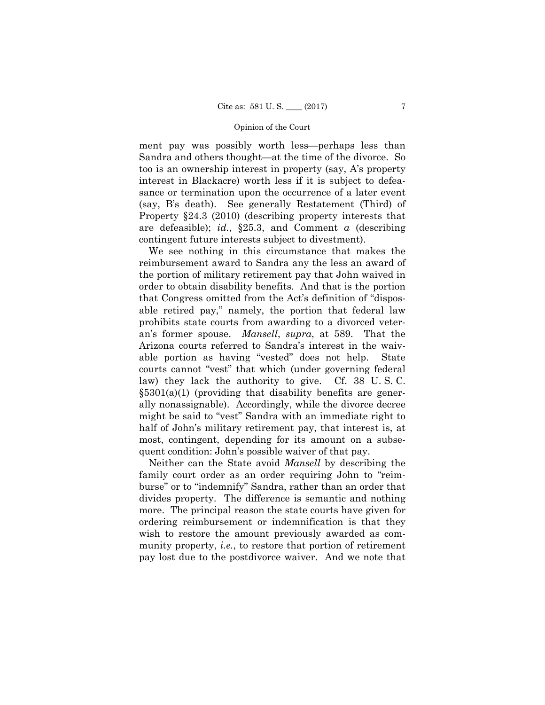ment pay was possibly worth less—perhaps less than Sandra and others thought—at the time of the divorce. So too is an ownership interest in property (say, A's property interest in Blackacre) worth less if it is subject to defeasance or termination upon the occurrence of a later event (say, B's death). See generally Restatement (Third) of Property §24.3 (2010) (describing property interests that are defeasible); *id.*, §25.3, and Comment *a* (describing contingent future interests subject to divestment).

We see nothing in this circumstance that makes the reimbursement award to Sandra any the less an award of the portion of military retirement pay that John waived in order to obtain disability benefits. And that is the portion that Congress omitted from the Act's definition of "disposable retired pay," namely, the portion that federal law prohibits state courts from awarding to a divorced veteran's former spouse. *Mansell*, *supra*, at 589. That the Arizona courts referred to Sandra's interest in the waivable portion as having "vested" does not help. State courts cannot "vest" that which (under governing federal law) they lack the authority to give. Cf. 38 U. S. C.  $\S 5301(a)(1)$  (providing that disability benefits are generally nonassignable). Accordingly, while the divorce decree might be said to "vest" Sandra with an immediate right to half of John's military retirement pay, that interest is, at most, contingent, depending for its amount on a subsequent condition: John's possible waiver of that pay.

Neither can the State avoid *Mansell* by describing the family court order as an order requiring John to "reimburse" or to "indemnify" Sandra, rather than an order that divides property. The difference is semantic and nothing more. The principal reason the state courts have given for ordering reimbursement or indemnification is that they wish to restore the amount previously awarded as community property, *i.e.*, to restore that portion of retirement pay lost due to the postdivorce waiver. And we note that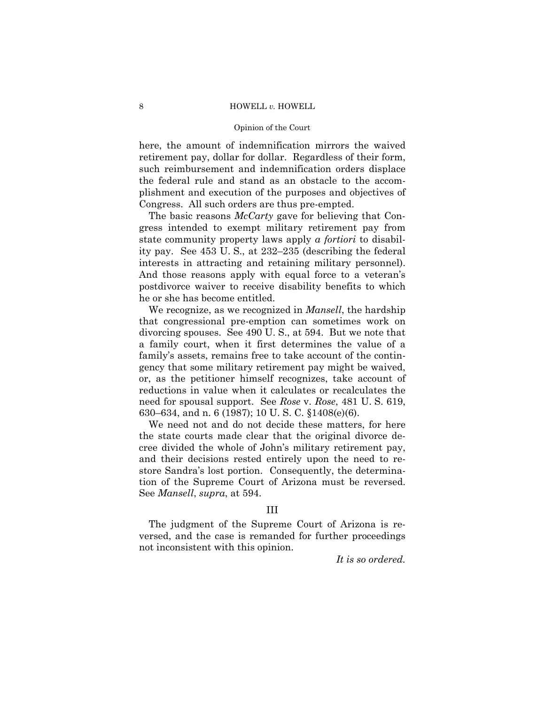#### 8 HOWELL *v.* HOWELL

### Opinion of the Court

here, the amount of indemnification mirrors the waived retirement pay, dollar for dollar. Regardless of their form, such reimbursement and indemnification orders displace the federal rule and stand as an obstacle to the accomplishment and execution of the purposes and objectives of Congress. All such orders are thus pre-empted.

The basic reasons *McCarty* gave for believing that Congress intended to exempt military retirement pay from state community property laws apply *a fortiori* to disability pay. See 453 U. S., at 232–235 (describing the federal interests in attracting and retaining military personnel). And those reasons apply with equal force to a veteran's postdivorce waiver to receive disability benefits to which he or she has become entitled.

We recognize, as we recognized in *Mansell*, the hardship that congressional pre-emption can sometimes work on divorcing spouses. See 490 U. S., at 594. But we note that a family court, when it first determines the value of a family's assets, remains free to take account of the contingency that some military retirement pay might be waived, or, as the petitioner himself recognizes, take account of reductions in value when it calculates or recalculates the need for spousal support. See *Rose* v. *Rose*, 481 U. S. 619, 630–634, and n. 6 (1987); 10 U. S. C. §1408(e)(6).

We need not and do not decide these matters, for here the state courts made clear that the original divorce decree divided the whole of John's military retirement pay, and their decisions rested entirely upon the need to restore Sandra's lost portion. Consequently, the determination of the Supreme Court of Arizona must be reversed. See *Mansell*, *supra*, at 594.

## III

The judgment of the Supreme Court of Arizona is reversed, and the case is remanded for further proceedings not inconsistent with this opinion.

*It is so ordered.*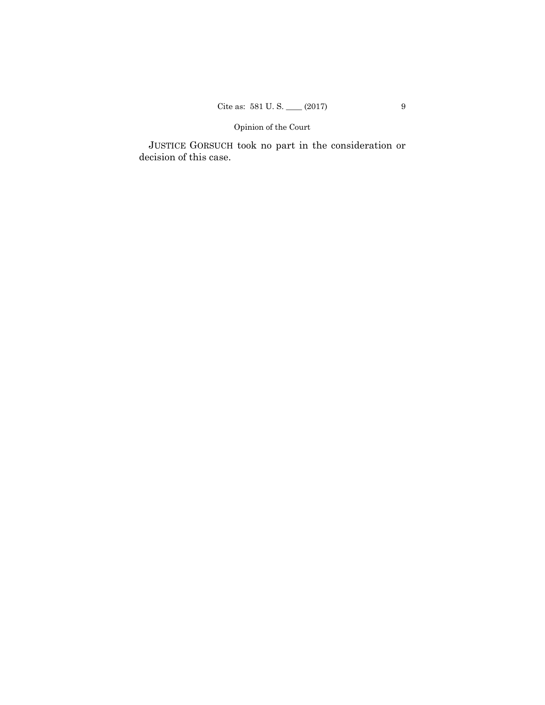JUSTICE GORSUCH took no part in the consideration or decision of this case.